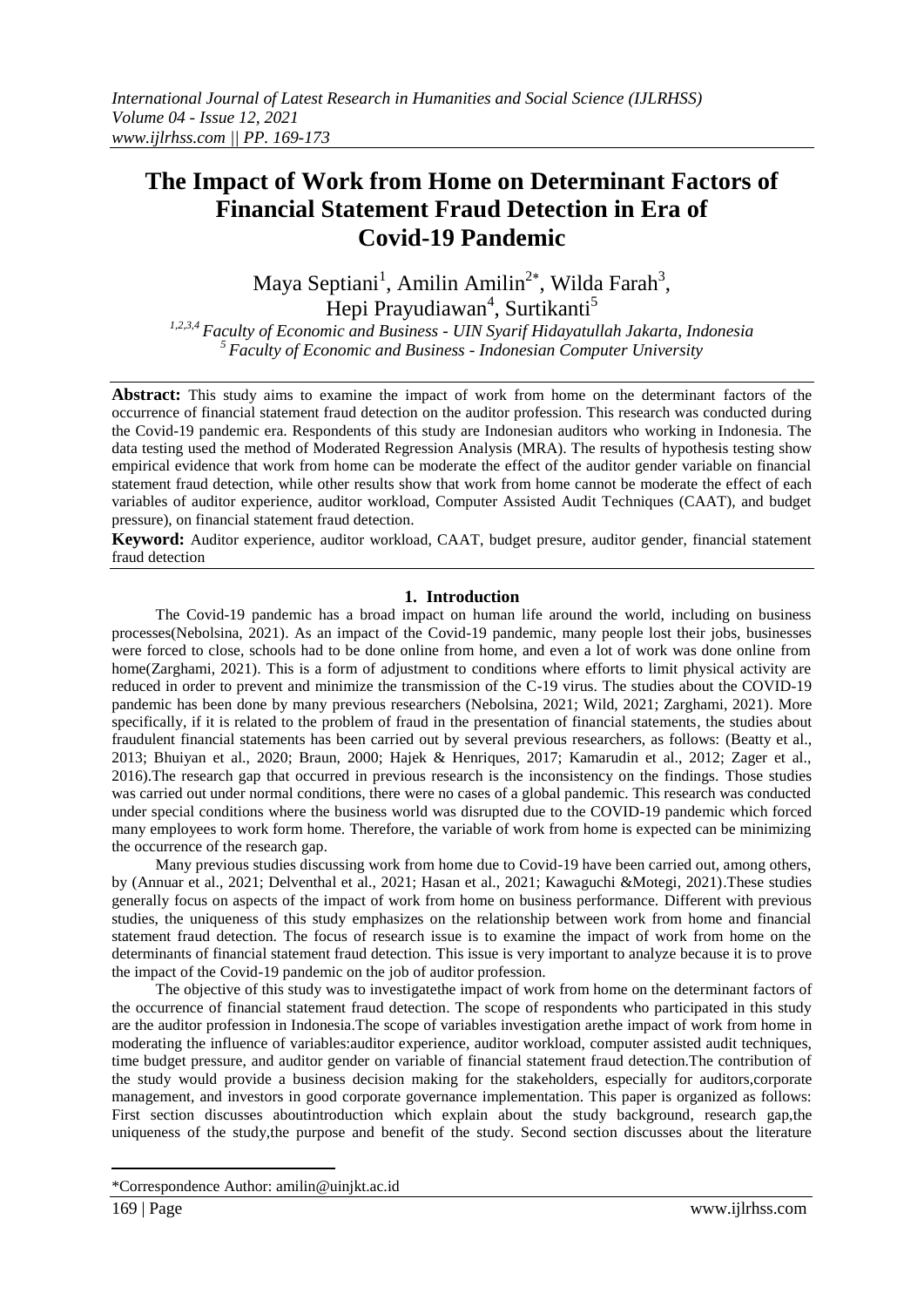# **The Impact of Work from Home on Determinant Factors of Financial Statement Fraud Detection in Era of Covid-19 Pandemic**

Maya Septiani<sup>1</sup>, Amilin Amilin<sup>2\*</sup>, Wilda Farah<sup>3</sup>, Hepi Prayudiawan<sup>4</sup>, Surtikanti<sup>5</sup>

*1,2,3,4 Faculty of Economic and Business - UIN Syarif Hidayatullah Jakarta, Indonesia <sup>5</sup>Faculty of Economic and Business - Indonesian Computer University*

**Abstract:** This study aims to examine the impact of work from home on the determinant factors of the occurrence of financial statement fraud detection on the auditor profession. This research was conducted during the Covid-19 pandemic era. Respondents of this study are Indonesian auditors who working in Indonesia. The data testing used the method of Moderated Regression Analysis (MRA). The results of hypothesis testing show empirical evidence that work from home can be moderate the effect of the auditor gender variable on financial statement fraud detection, while other results show that work from home cannot be moderate the effect of each variables of auditor experience, auditor workload, Computer Assisted Audit Techniques (CAAT), and budget pressure), on financial statement fraud detection.

**Keyword:** Auditor experience, auditor workload, CAAT, budget presure, auditor gender, financial statement fraud detection

### **1. Introduction**

The Covid-19 pandemic has a broad impact on human life around the world, including on business processes(Nebolsina, 2021). As an impact of the Covid-19 pandemic, many people lost their jobs, businesses were forced to close, schools had to be done online from home, and even a lot of work was done online from home(Zarghami, 2021). This is a form of adjustment to conditions where efforts to limit physical activity are reduced in order to prevent and minimize the transmission of the C-19 virus. The studies about the COVID-19 pandemic has been done by many previous researchers (Nebolsina, 2021; Wild, 2021; Zarghami, 2021). More specifically, if it is related to the problem of fraud in the presentation of financial statements, the studies about fraudulent financial statements has been carried out by several previous researchers, as follows: (Beatty et al., 2013; Bhuiyan et al., 2020; Braun, 2000; Hajek & Henriques, 2017; Kamarudin et al., 2012; Zager et al., 2016).The research gap that occurred in previous research is the inconsistency on the findings. Those studies was carried out under normal conditions, there were no cases of a global pandemic. This research was conducted under special conditions where the business world was disrupted due to the COVID-19 pandemic which forced many employees to work form home. Therefore, the variable of work from home is expected can be minimizing the occurrence of the research gap.

Many previous studies discussing work from home due to Covid-19 have been carried out, among others, by (Annuar et al., 2021; Delventhal et al., 2021; Hasan et al., 2021; Kawaguchi &Motegi, 2021).These studies generally focus on aspects of the impact of work from home on business performance. Different with previous studies, the uniqueness of this study emphasizes on the relationship between work from home and financial statement fraud detection. The focus of research issue is to examine the impact of work from home on the determinants of financial statement fraud detection. This issue is very important to analyze because it is to prove the impact of the Covid-19 pandemic on the job of auditor profession.

The objective of this study was to investigatethe impact of work from home on the determinant factors of the occurrence of financial statement fraud detection. The scope of respondents who participated in this study are the auditor profession in Indonesia.The scope of variables investigation arethe impact of work from home in moderating the influence of variables:auditor experience, auditor workload, computer assisted audit techniques, time budget pressure, and auditor gender on variable of financial statement fraud detection.The contribution of the study would provide a business decision making for the stakeholders, especially for auditors,corporate management, and investors in good corporate governance implementation. This paper is organized as follows: First section discusses aboutintroduction which explain about the study background, research gap,the uniqueness of the study,the purpose and benefit of the study. Second section discusses about the literature

-

<sup>\*</sup>Correspondence Author: amilin@uinjkt.ac.id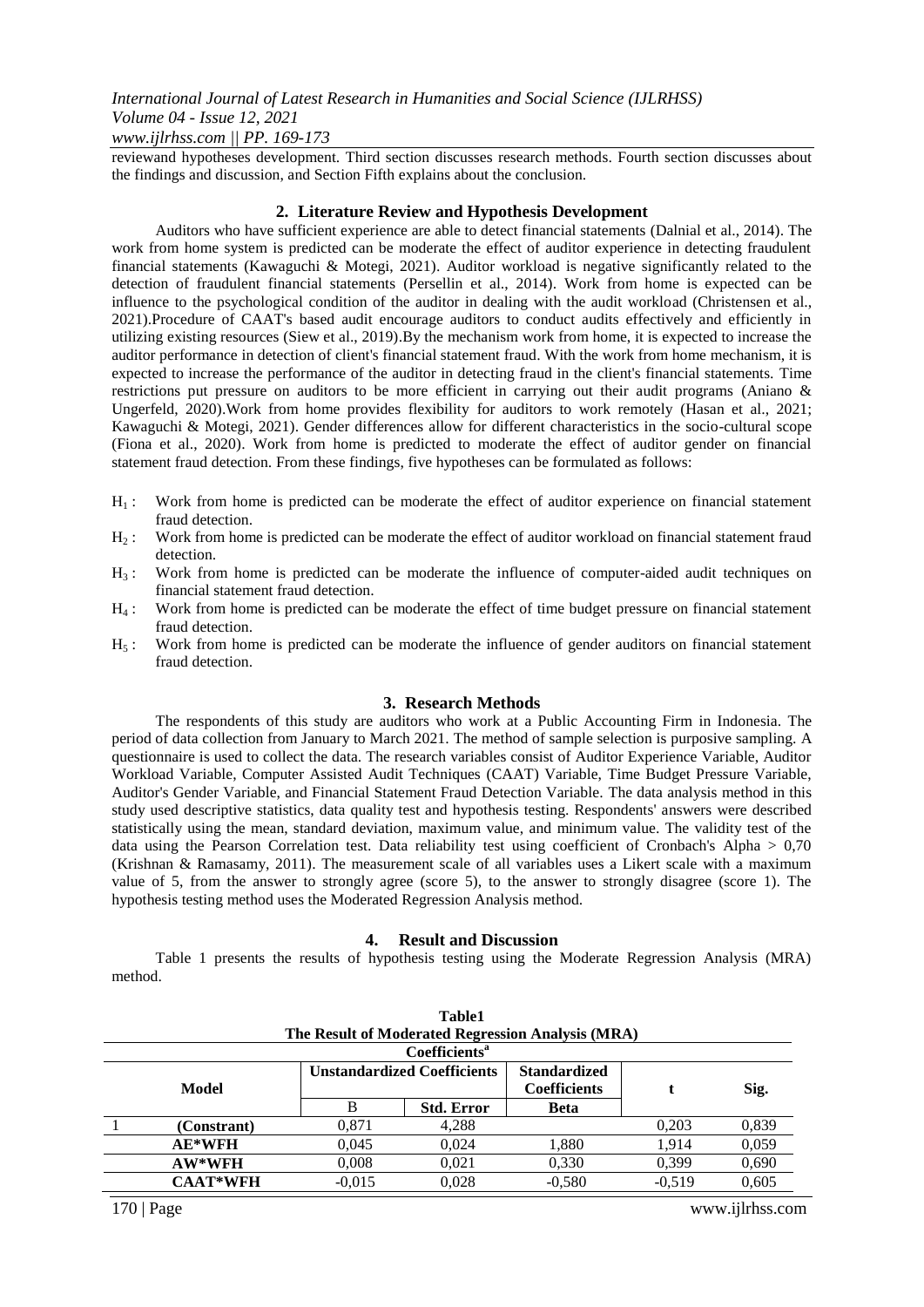# *www.ijlrhss.com || PP. 169-173*

reviewand hypotheses development. Third section discusses research methods. Fourth section discusses about the findings and discussion, and Section Fifth explains about the conclusion.

# **2. Literature Review and Hypothesis Development**

Auditors who have sufficient experience are able to detect financial statements (Dalnial et al., 2014). The work from home system is predicted can be moderate the effect of auditor experience in detecting fraudulent financial statements (Kawaguchi & Motegi, 2021). Auditor workload is negative significantly related to the detection of fraudulent financial statements (Persellin et al., 2014). Work from home is expected can be influence to the psychological condition of the auditor in dealing with the audit workload (Christensen et al., 2021).Procedure of CAAT's based audit encourage auditors to conduct audits effectively and efficiently in utilizing existing resources (Siew et al., 2019).By the mechanism work from home, it is expected to increase the auditor performance in detection of client's financial statement fraud. With the work from home mechanism, it is expected to increase the performance of the auditor in detecting fraud in the client's financial statements. Time restrictions put pressure on auditors to be more efficient in carrying out their audit programs (Aniano & Ungerfeld, 2020).Work from home provides flexibility for auditors to work remotely (Hasan et al., 2021; Kawaguchi & Motegi, 2021). Gender differences allow for different characteristics in the socio-cultural scope (Fiona et al., 2020). Work from home is predicted to moderate the effect of auditor gender on financial statement fraud detection. From these findings, five hypotheses can be formulated as follows:

- $H<sub>1</sub>$ : Work from home is predicted can be moderate the effect of auditor experience on financial statement fraud detection.
- H<sup>2</sup> : Work from home is predicted can be moderate the effect of auditor workload on financial statement fraud detection.
- $H_3$ : Work from home is predicted can be moderate the influence of computer-aided audit techniques on financial statement fraud detection.
- H<sup>4</sup> : Work from home is predicted can be moderate the effect of time budget pressure on financial statement fraud detection.
- $H_5$ : Work from home is predicted can be moderate the influence of gender auditors on financial statement fraud detection.

## **3. Research Methods**

The respondents of this study are auditors who work at a Public Accounting Firm in Indonesia. The period of data collection from January to March 2021. The method of sample selection is purposive sampling. A questionnaire is used to collect the data. The research variables consist of Auditor Experience Variable, Auditor Workload Variable, Computer Assisted Audit Techniques (CAAT) Variable, Time Budget Pressure Variable, Auditor's Gender Variable, and Financial Statement Fraud Detection Variable. The data analysis method in this study used descriptive statistics, data quality test and hypothesis testing. Respondents' answers were described statistically using the mean, standard deviation, maximum value, and minimum value. The validity test of the data using the Pearson Correlation test. Data reliability test using coefficient of Cronbach's Alpha > 0,70 (Krishnan & Ramasamy, 2011). The measurement scale of all variables uses a Likert scale with a maximum value of 5, from the answer to strongly agree (score 5), to the answer to strongly disagree (score 1). The hypothesis testing method uses the Moderated Regression Analysis method.

### **4. Result and Discussion**

Table 1 presents the results of hypothesis testing using the Moderate Regression Analysis (MRA) method.

| <b>Table1</b>                                     |                 |                                    |                   |                                            |          |       |  |  |  |  |  |
|---------------------------------------------------|-----------------|------------------------------------|-------------------|--------------------------------------------|----------|-------|--|--|--|--|--|
| The Result of Moderated Regression Analysis (MRA) |                 |                                    |                   |                                            |          |       |  |  |  |  |  |
| Coefficients <sup>a</sup>                         |                 |                                    |                   |                                            |          |       |  |  |  |  |  |
|                                                   | Model           | <b>Unstandardized Coefficients</b> |                   | <b>Standardized</b><br><b>Coefficients</b> |          | Sig.  |  |  |  |  |  |
|                                                   |                 | B                                  | <b>Std. Error</b> | <b>Beta</b>                                |          |       |  |  |  |  |  |
|                                                   | (Constrant)     | 0,871                              | 4,288             |                                            | 0,203    | 0,839 |  |  |  |  |  |
|                                                   | $AE*WFH$        | 0.045                              | 0.024             | 1,880                                      | 1.914    | 0,059 |  |  |  |  |  |
|                                                   | AW*WFH          | 0.008                              | 0.021             | 0,330                                      | 0.399    | 0,690 |  |  |  |  |  |
|                                                   | <b>CAAT*WFH</b> | $-0.015$                           | 0.028             | $-0.580$                                   | $-0.519$ | 0.605 |  |  |  |  |  |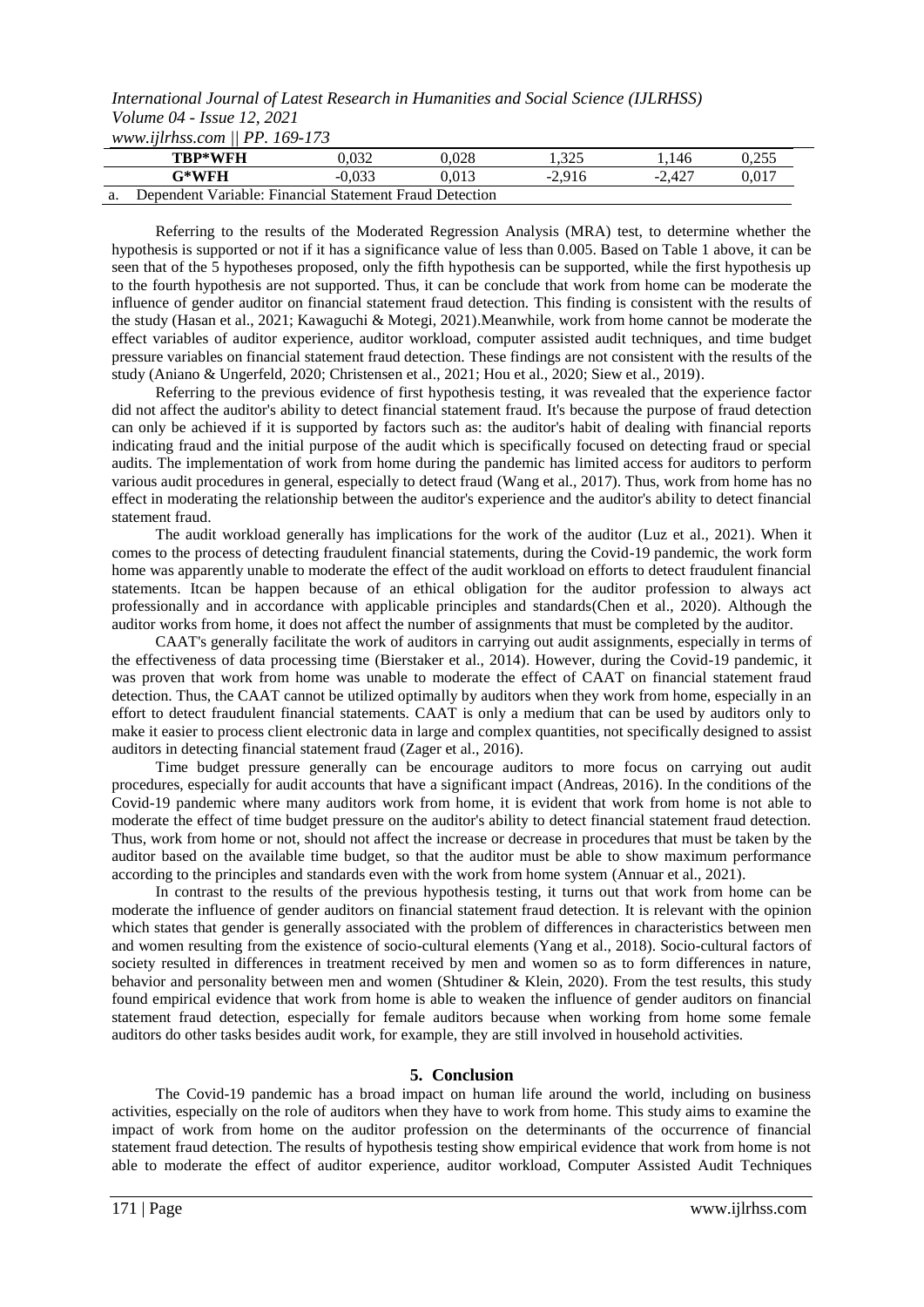*www.ijlrhss.com || PP. 169-173*

|    | TBP*WFH                                                 | 0.032  | 9.028 | .325     | 146      | ).255 |
|----|---------------------------------------------------------|--------|-------|----------|----------|-------|
|    | $\mathbb{T}^\ast\mathbf{WFH}$                           | -0.033 | 0.013 | $-2.916$ | $-2.427$ | 0.017 |
| a. | Dependent Variable: Financial Statement Fraud Detection |        |       |          |          |       |

Referring to the results of the Moderated Regression Analysis (MRA) test, to determine whether the hypothesis is supported or not if it has a significance value of less than 0.005. Based on Table 1 above, it can be seen that of the 5 hypotheses proposed, only the fifth hypothesis can be supported, while the first hypothesis up to the fourth hypothesis are not supported. Thus, it can be conclude that work from home can be moderate the influence of gender auditor on financial statement fraud detection. This finding is consistent with the results of the study (Hasan et al., 2021; Kawaguchi & Motegi, 2021).Meanwhile, work from home cannot be moderate the effect variables of auditor experience, auditor workload, computer assisted audit techniques, and time budget pressure variables on financial statement fraud detection. These findings are not consistent with the results of the study (Aniano & Ungerfeld, 2020; Christensen et al., 2021; Hou et al., 2020; Siew et al., 2019).

Referring to the previous evidence of first hypothesis testing, it was revealed that the experience factor did not affect the auditor's ability to detect financial statement fraud. It's because the purpose of fraud detection can only be achieved if it is supported by factors such as: the auditor's habit of dealing with financial reports indicating fraud and the initial purpose of the audit which is specifically focused on detecting fraud or special audits. The implementation of work from home during the pandemic has limited access for auditors to perform various audit procedures in general, especially to detect fraud (Wang et al., 2017). Thus, work from home has no effect in moderating the relationship between the auditor's experience and the auditor's ability to detect financial statement fraud.

The audit workload generally has implications for the work of the auditor (Luz et al., 2021). When it comes to the process of detecting fraudulent financial statements, during the Covid-19 pandemic, the work form home was apparently unable to moderate the effect of the audit workload on efforts to detect fraudulent financial statements. Itcan be happen because of an ethical obligation for the auditor profession to always act professionally and in accordance with applicable principles and standards(Chen et al., 2020). Although the auditor works from home, it does not affect the number of assignments that must be completed by the auditor.

CAAT's generally facilitate the work of auditors in carrying out audit assignments, especially in terms of the effectiveness of data processing time (Bierstaker et al., 2014). However, during the Covid-19 pandemic, it was proven that work from home was unable to moderate the effect of CAAT on financial statement fraud detection. Thus, the CAAT cannot be utilized optimally by auditors when they work from home, especially in an effort to detect fraudulent financial statements. CAAT is only a medium that can be used by auditors only to make it easier to process client electronic data in large and complex quantities, not specifically designed to assist auditors in detecting financial statement fraud (Zager et al., 2016).

Time budget pressure generally can be encourage auditors to more focus on carrying out audit procedures, especially for audit accounts that have a significant impact (Andreas, 2016). In the conditions of the Covid-19 pandemic where many auditors work from home, it is evident that work from home is not able to moderate the effect of time budget pressure on the auditor's ability to detect financial statement fraud detection. Thus, work from home or not, should not affect the increase or decrease in procedures that must be taken by the auditor based on the available time budget, so that the auditor must be able to show maximum performance according to the principles and standards even with the work from home system (Annuar et al., 2021).

In contrast to the results of the previous hypothesis testing, it turns out that work from home can be moderate the influence of gender auditors on financial statement fraud detection. It is relevant with the opinion which states that gender is generally associated with the problem of differences in characteristics between men and women resulting from the existence of socio-cultural elements (Yang et al., 2018). Socio-cultural factors of society resulted in differences in treatment received by men and women so as to form differences in nature, behavior and personality between men and women (Shtudiner & Klein, 2020). From the test results, this study found empirical evidence that work from home is able to weaken the influence of gender auditors on financial statement fraud detection, especially for female auditors because when working from home some female auditors do other tasks besides audit work, for example, they are still involved in household activities.

### **5. Conclusion**

The Covid-19 pandemic has a broad impact on human life around the world, including on business activities, especially on the role of auditors when they have to work from home. This study aims to examine the impact of work from home on the auditor profession on the determinants of the occurrence of financial statement fraud detection. The results of hypothesis testing show empirical evidence that work from home is not able to moderate the effect of auditor experience, auditor workload, Computer Assisted Audit Techniques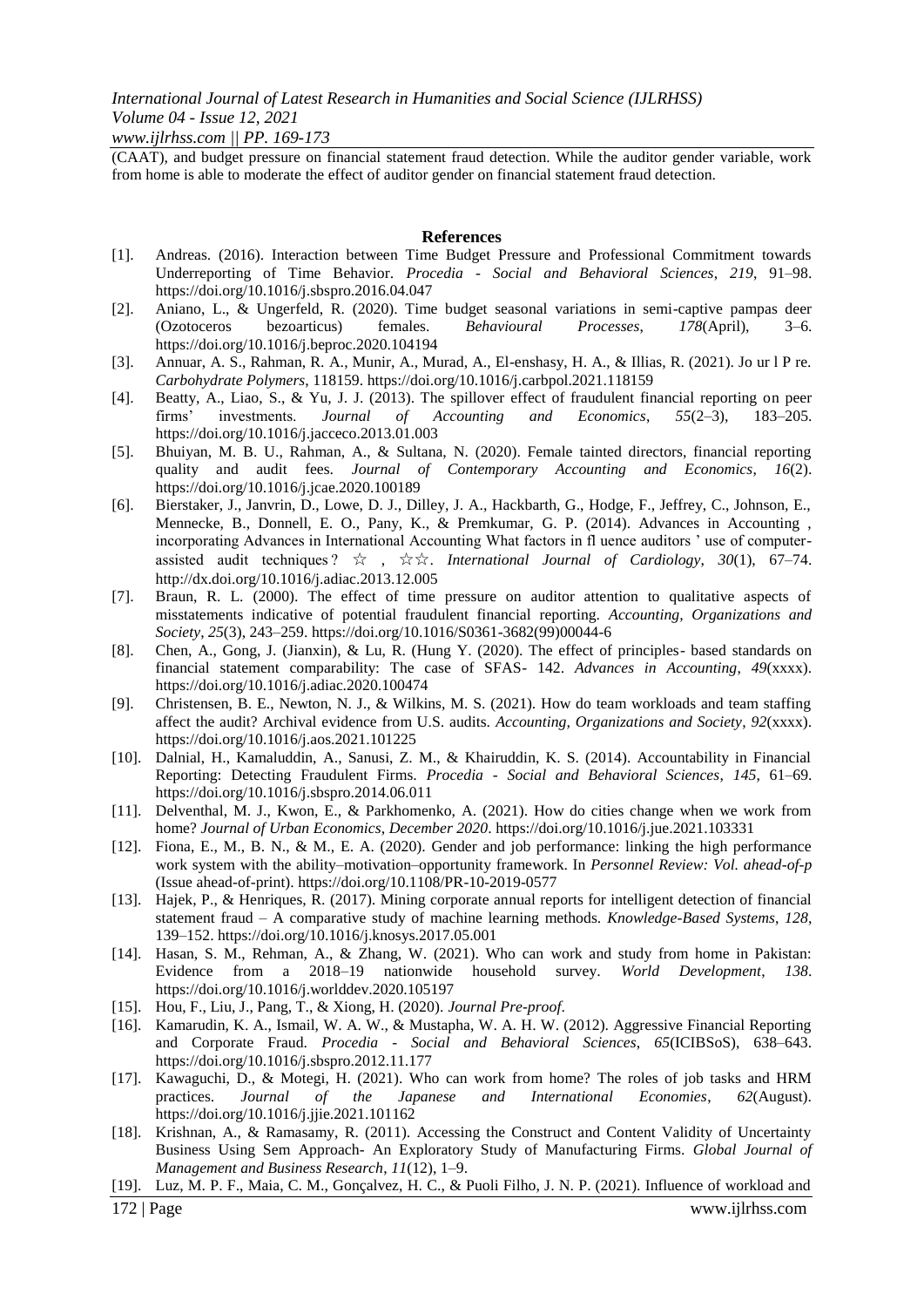*www.ijlrhss.com || PP. 169-173*

(CAAT), and budget pressure on financial statement fraud detection. While the auditor gender variable, work from home is able to moderate the effect of auditor gender on financial statement fraud detection.

#### **References**

- [1]. Andreas. (2016). Interaction between Time Budget Pressure and Professional Commitment towards Underreporting of Time Behavior. *Procedia - Social and Behavioral Sciences*, *219*, 91–98. https://doi.org/10.1016/j.sbspro.2016.04.047
- [2]. Aniano, L., & Ungerfeld, R. (2020). Time budget seasonal variations in semi-captive pampas deer (Ozotoceros bezoarticus) females. *Behavioural Processes*, *178*(April), 3–6. https://doi.org/10.1016/j.beproc.2020.104194
- [3]. Annuar, A. S., Rahman, R. A., Munir, A., Murad, A., El-enshasy, H. A., & Illias, R. (2021). Jo ur l P re. *Carbohydrate Polymers*, 118159. https://doi.org/10.1016/j.carbpol.2021.118159
- [4]. Beatty, A., Liao, S., & Yu, J. J. (2013). The spillover effect of fraudulent financial reporting on peer<br>firms' investments. *Journal of Accounting and Economics*, 55(2–3), 183–205. firms' investments. *Journal of Accounting and Economics*, *55*(2–3), 183–205. https://doi.org/10.1016/j.jacceco.2013.01.003
- [5]. Bhuiyan, M. B. U., Rahman, A., & Sultana, N. (2020). Female tainted directors, financial reporting quality and audit fees. *Journal of Contemporary Accounting and Economics*, *16*(2). https://doi.org/10.1016/j.jcae.2020.100189
- [6]. Bierstaker, J., Janvrin, D., Lowe, D. J., Dilley, J. A., Hackbarth, G., Hodge, F., Jeffrey, C., Johnson, E., Mennecke, B., Donnell, E. O., Pany, K., & Premkumar, G. P. (2014). Advances in Accounting , incorporating Advances in International Accounting What factors in fl uence auditors ' use of computerassisted audit techniques ? ☆ , ☆☆. *International Journal of Cardiology*, *30*(1), 67–74. http://dx.doi.org/10.1016/j.adiac.2013.12.005
- [7]. Braun, R. L. (2000). The effect of time pressure on auditor attention to qualitative aspects of misstatements indicative of potential fraudulent financial reporting. *Accounting, Organizations and Society*, *25*(3), 243–259. https://doi.org/10.1016/S0361-3682(99)00044-6
- [8]. Chen, A., Gong, J. (Jianxin), & Lu, R. (Hung Y. (2020). The effect of principles- based standards on financial statement comparability: The case of SFAS- 142. *Advances in Accounting*, *49*(xxxx). https://doi.org/10.1016/j.adiac.2020.100474
- [9]. Christensen, B. E., Newton, N. J., & Wilkins, M. S. (2021). How do team workloads and team staffing affect the audit? Archival evidence from U.S. audits. *Accounting, Organizations and Society*, *92*(xxxx). https://doi.org/10.1016/j.aos.2021.101225
- [10]. Dalnial, H., Kamaluddin, A., Sanusi, Z. M., & Khairuddin, K. S. (2014). Accountability in Financial Reporting: Detecting Fraudulent Firms. *Procedia - Social and Behavioral Sciences*, *145*, 61–69. https://doi.org/10.1016/j.sbspro.2014.06.011
- [11]. Delventhal, M. J., Kwon, E., & Parkhomenko, A. (2021). How do cities change when we work from home? *Journal of Urban Economics*, *December 2020*. https://doi.org/10.1016/j.jue.2021.103331
- [12]. Fiona, E., M., B. N., & M., E. A. (2020). Gender and job performance: linking the high performance work system with the ability–motivation–opportunity framework. In *Personnel Review: Vol. ahead-of-p* (Issue ahead-of-print). https://doi.org/10.1108/PR-10-2019-0577
- [13]. Hajek, P., & Henriques, R. (2017). Mining corporate annual reports for intelligent detection of financial statement fraud – A comparative study of machine learning methods. *Knowledge-Based Systems*, *128*, 139–152. https://doi.org/10.1016/j.knosys.2017.05.001
- [14]. Hasan, S. M., Rehman, A., & Zhang, W. (2021). Who can work and study from home in Pakistan: Evidence from a 2018–19 nationwide household survey. *World Development*, *138*. https://doi.org/10.1016/j.worlddev.2020.105197
- [15]. Hou, F., Liu, J., Pang, T., & Xiong, H. (2020). *Journal Pre-proof*.
- [16]. Kamarudin, K. A., Ismail, W. A. W., & Mustapha, W. A. H. W. (2012). Aggressive Financial Reporting and Corporate Fraud. *Procedia - Social and Behavioral Sciences*, *65*(ICIBSoS), 638–643. https://doi.org/10.1016/j.sbspro.2012.11.177
- [17]. Kawaguchi, D., & Motegi, H. (2021). Who can work from home? The roles of job tasks and HRM practices. *Journal of the Japanese and International Economies*, *62*(August). https://doi.org/10.1016/j.jjie.2021.101162
- [18]. Krishnan, A., & Ramasamy, R. (2011). Accessing the Construct and Content Validity of Uncertainty Business Using Sem Approach- An Exploratory Study of Manufacturing Firms. *Global Journal of Management and Business Research*, *11*(12), 1–9.
- [19]. Luz, M. P. F., Maia, C. M., Gonçalvez, H. C., & Puoli Filho, J. N. P. (2021). Influence of workload and